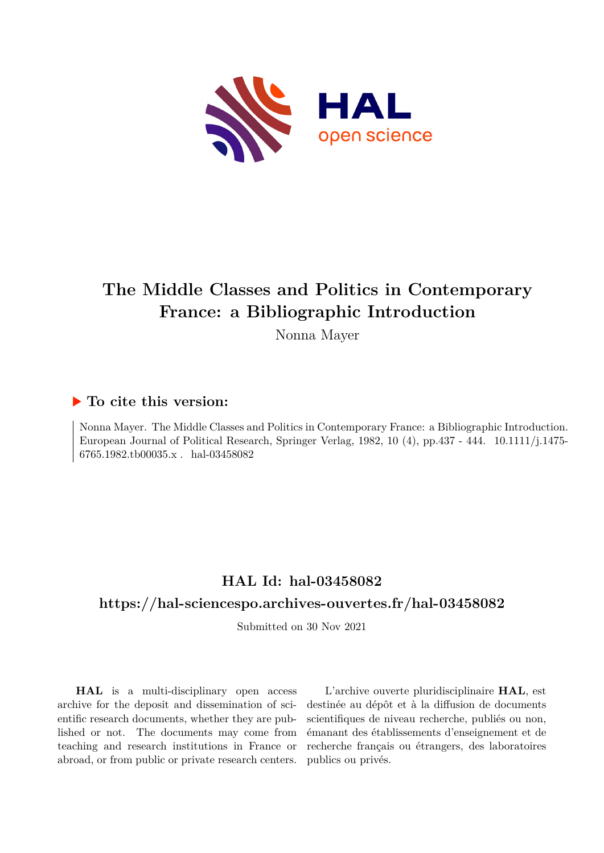

# **The Middle Classes and Politics in Contemporary France: a Bibliographic Introduction**

Nonna Mayer

### **To cite this version:**

Nonna Mayer. The Middle Classes and Politics in Contemporary France: a Bibliographic Introduction. European Journal of Political Research, Springer Verlag, 1982, 10  $(4)$ , pp.437 - 444.  $10.1111/j.1475-$ 6765.1982.tb00035.x . hal-03458082

## **HAL Id: hal-03458082**

### **<https://hal-sciencespo.archives-ouvertes.fr/hal-03458082>**

Submitted on 30 Nov 2021

**HAL** is a multi-disciplinary open access archive for the deposit and dissemination of scientific research documents, whether they are published or not. The documents may come from teaching and research institutions in France or abroad, or from public or private research centers.

L'archive ouverte pluridisciplinaire **HAL**, est destinée au dépôt et à la diffusion de documents scientifiques de niveau recherche, publiés ou non, émanant des établissements d'enseignement et de recherche français ou étrangers, des laboratoires publics ou privés.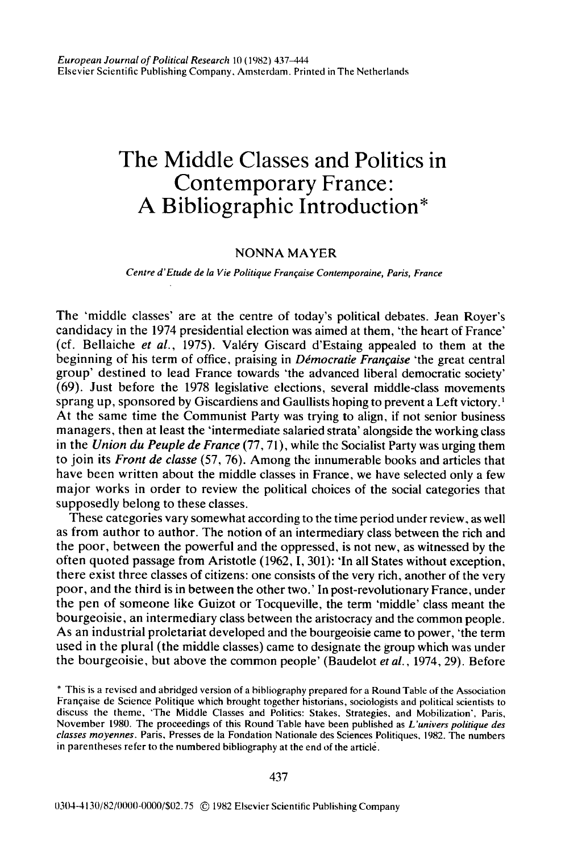## The Middle Classes and Politics in Contemporary France: **A** Bibliographic Introduction\*

#### NONNA MAYER

*Centre d'Etude de la Vie Politique Franqaise Contemporaine, Paris, France* 

The 'middle classes' are at the centre of today's political debates. Jean Royer's candidacy in the 1974 presidential election was aimed at them, 'the heart of France' (cf. Bellaiche *et al.,* 1975). Valéry Giscard d'Estaing appealed to them at the beginning of his term of office, praising in *Démocratie Française* 'the great central group' destined to lead France towards 'the advanced liberal democratic society' (69). Just before the 1978 legislative elections, several middle-class movements sprang up, sponsored by Giscardiens and Gaullists hoping to prevent a Left victory.' At the same time the Communist Party was trying to align, if not senior business managers, then at least the 'intermediate salaried strata' alongside the working class in the *Union du Peuple de France* (77,71), while the Socialist Party was urging them to join its *Front de cfasse* (57, 76). Among the innumerable books and articles that have been written about the middle classes in France, we have selected only a few major works in order to review the political choices of the social categories that supposedly belong to these classes.

These categories vary somewhat according to the time period under review, as well as from author to author. The notion of an intermediary class between the rich and the poor, between the powerful and the oppressed, is not new, as witnessed by the often quoted passage from Aristotle (1962, I, 301): **'In** all States without exception, there exist three classes of citizens: one consists of the very rich, another of the very poor, and the third is in between the other two.' In post-revolutionary France, under the pen of someone like Guizot or Tocqueville, the term 'middle' class meant the bourgeoisie, an intermediary class between the aristocracy and the common people. As an industrial proletariat developed and the bourgeoisie came to power, 'the term used in the plural (the middle classes) came to designate the group which was under the bourgeoisie, but above the common people' (Baudelot *et al.,* 1974,29). Before

<sup>\*</sup> **This is a revised and abridged version of a bibliography prepared for** a **Round Table of the Association FranGaise de Science Politique which brought together historians, sociologists and political scientists to discuss the theme, 'The Middle Classes and Politics: Stakes. Strategies, and Mobilization', Paris, November 1980. The proceedings of this Round Table have been published as** *L'univers politique des classes moyennes.* **Paris, Presses de la Fondation Nationale des Sciences Politiques, 1982. The numbers in parentheses refer to the numbered bibliography at the end of the article.**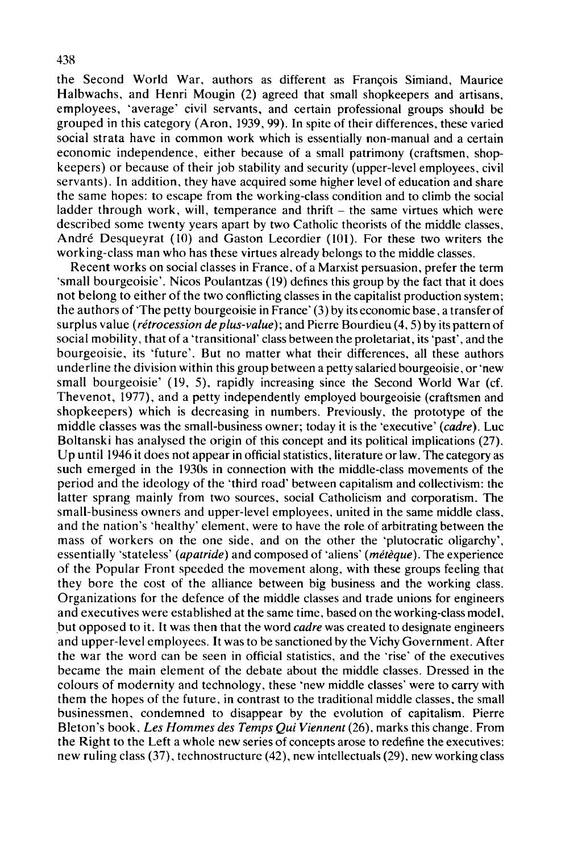the Second World War, authors as different as François Simiand, Maurice Halbwachs, and Henri Mougin (2) agreed that small shopkeepers and artisans, employees, 'average' civil servants, and certain professional groups should be grouped in this category (Aron, 1939,99). **In** spite of their differences, these varied social strata have in common work which is essentially non-manual and a certain economic independence, either because of a small patrimony (craftsmen, shopkeepers) or because of their job stability and security (upper-level employees, civil servants). In addition, they have acquired some higher level of education and share the same hopes: to escape from the working-class condition and to climb the social ladder through work, will, temperance and thrift  $-$  the same virtues which were described some twenty years apart by two Catholic theorists of the middle classes, Andre Desqueyrat (10) and Gaston Lecordier (101). For these two writers the working-class man who has these virtues already belongs to the middle classes.

Recent works on social classes in France. of **a** Marxist persuasion, prefer the term 'small bourgeoisie'. Nicos Poulantzas (19) defines this group by the fact that it does not belong to either of the two conflicting classes in the capitalist production system; the authors of 'The petty bourgeoisie in France'(3) by itseconomic base, a transfer of surplus value *(retrocession depfus-value);* and Pierre Bourdieu (4,5) by its pattern of social mobility, that of a 'transitional' class between the proletariat, its 'past', and the bourgeoisie, its 'future'. But no matter what their differences, all these authors underline the division within this group between a petty salaried bourgeoisie, or 'new small bourgeoisie' (19, 5), rapidly increasing since the Second World War (cf. Thevenot, l977), and a petty independently employed bourgeoisie (craftsmen and shopkeepers) which is decreasing in numbers. Previously, the prototype of the middle classes was the small-business owner; today it is the 'executive' *(cadre).* Luc Boltanski has analysed the origin of this concept and its political implications (27). Up until 1946 it does not appear in official statistics, literature or law. The category as such emerged in the **1930s** in connection with the middle-class movements **of** the period and the ideology of the 'third road' between capitalism and collectivism: the latter sprang mainly from two sources, social Catholicism and corporatism. The small-business owners and upper-level employees, united in the same middle class, and the nation's 'healthy' element, were to have the role of arbitrating between the mass of workers on the one side, and on the other the 'plutocratic oligarchy', essentially 'stateless' *(apatride)* and composed of 'aliens' *(mereque).* The experience of the Popular Front speeded the movement along, with these groups feeling that they bore the cost of the alliance between big business and the working class. Organizations for the defence of the middle classes and trade unions for engineers and executives were established at the same time, based on the working-class model, but opposed to it. It was then that the word *cadre* was created to designate engineers and upper-level employees. It was to be sanctioned by the Vichy Government. After the war the word can be seen in official statistics, and the 'rise' of the executives became the main element of the debate about the middle classes. Dressed in the colours of modernity and technology, these 'new middle classes' were to carry with them the hopes of the future, in contrast to the traditional middle classes. the small businessmen, condemned to disappear by the evolution of capitalism. Pierre Bleton's book, *Les Hommes des Temps Qui Viennent* (26). marks this change. From the Right to the Left a whole new series of concepts arose to redefine the executives: new ruling class **(37),** technostructure (42), new intellectuals (29). new working class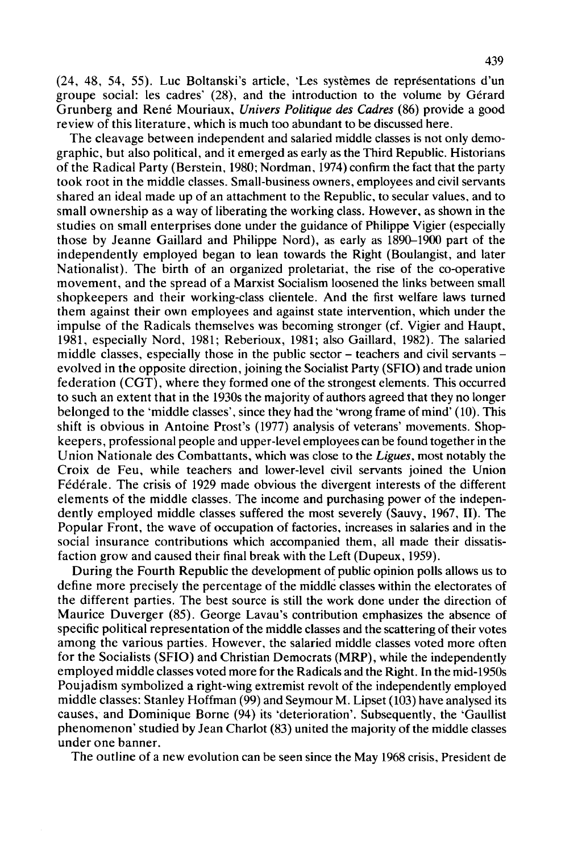(24, 48, **54,** 55). Luc Boltanski's article, 'Les systemes de representations d'un groupe social: les cadres' (28), and the introduction to the volume by Gerard Grunberg and Rene Mouriaux, *Univers Polifique des Cadres* (86) provide a good review of this literature, which is much too abundant to be discussed here.

The cleavage between independent and salaried middle classes is not only demographic, but also political, and it emerged as early as the Third Republic. Historians of the Radical Party (Berstein, 1980; Nordman, 1974) confirm the fact that the party took root in the middle classes. Small-business owners, employees and civil servants shared an ideal made up of an attachment to the Republic, to secular values, and to small ownership as a way of liberating the working class. However, as shown in the studies on small enterprises done under the guidance of Philippe Vigier (especially those by Jeanne Gaillard and Philippe Nord), as early as 1890-1900 part of the independently employed began to lean towards the Right (Boulangist, and later Nationalist). The birth of an organized proletariat, the rise of the co-operative movement, and the spread of a Marxist Socialism loosened the links between small shopkeepers and their working-class clientele. And the first welfare laws turned them against their own employees and against state intervention, which under the impulse of the Radicals themselves was becoming stronger (cf. Vigier and Haupt, 1981, especially Nord, 1981; Reberioux, 1981; also Gaillard, 1982). The salaried middle classes, especially those in the public sector – teachers and civil servants – evolved in the opposite direction, joining the Socialist Party (SFIO) and trade union federation (CGT), where they formed one of the strongest elements. This occurred to such an extent that in the 1930s the majority of authors agreed that they no longer belonged to the 'middle classes', since they had the 'wrong frame of mind' (10). This shift is obvious in Antoine Prost's (1977) analysis of veterans' movements. Shopkeepers, professional people and upper-level employees can be found together in the Union Nationale des Combattants, which was close to the *Ligues,* most notably the Croix de Feu, while teachers and lower-level civil servants joined the Union Fédérale. The crisis of 1929 made obvious the divergent interests of the different elements of the middle classes. The income and purchasing power of the independently employed middle classes suffered the most severely (Sauvy, 1967, **11).** The Popular Front, the wave of occupation of factories, increases in salaries and in the social insurance contributions which accompanied them, all made their dissatisfaction grow and caused their final break with the Left (Dupeux, 1959).

During the Fourth Republic the development of public opinion polls allows us to define more precisely the percentage of the middle classes within the electorates of the different parties. The best source is still the work done under the direction of Maurice Duverger (85). George Lavau's contribution emphasizes the absence of specific political representation of the middle classes and the scattering of their votes among the various parties. However, the salaried middle classes voted more often for the Socialists (SFIO) and Christian Democrats (MRP), while the independently employed middle classes voted more for the Radicals and the Right. In the mid-1950s Poujadism symbolized a right-wing extremist revolt of the independently employed middle classes: Stanley Hoffman (99) and Seymour M. Lipset (103) have analysed its causes, and Dominique Borne (94) its 'deterioration'. Subsequently, the 'Gaullist phenomenon' studied by Jean Charlot (83) united the majority of the middle classes under one banner.

The outline of a new evolution can be seen since the May 1968 crisis, President de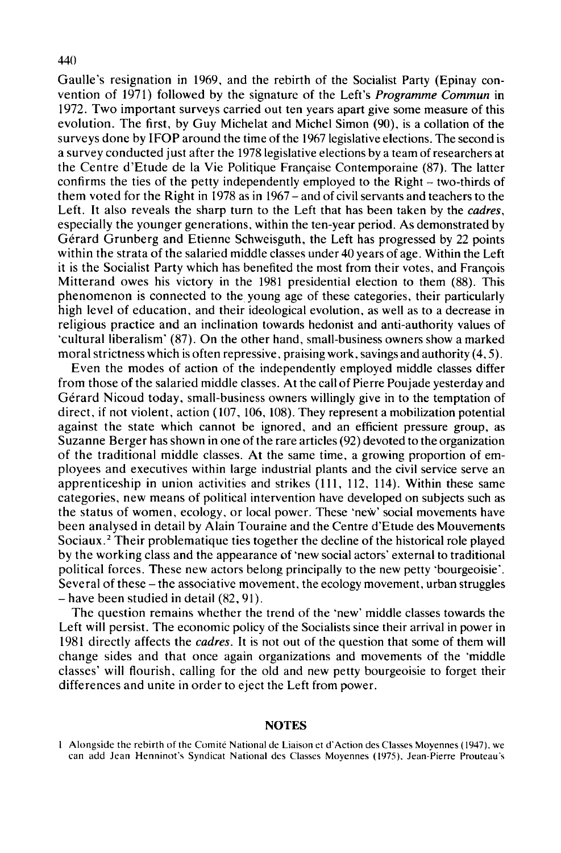Gaulle's resignation in 1969, and the rebirth of the Socialist Party (Epinay convention of 1971) followed by the signature of the Left's *Programme Commun* in 1972. Two important surveys carried out ten years apart give some measure of this evolution. The first, by Guy Michelat and Michel Simon (90), is a collation of the surveys done by **IFOP** around the time of the 1967 legislative elections. The second is a survey conducted just after the 1978 legislative elections by a team of researchers at the Centre d'Etude de la Vie Politique Française Contemporaine (87). The latter confirms the ties of the petty independently employed to the Right - two-thirds of them voted for the Right in 1978 as in 1967- and of civil servants and teachers to the Left. It also reveals the sharp turn to the Left that has been taken by the *cadres,*  especially the younger generations, within the ten-year period. As demonstrated by Gérard Grunberg and Etienne Schweisguth, the Left has progressed by 22 points within the strata of the salaried middle classes under 40 years of age. Within the Left it is the Socialist Party which has benefited the most from their votes, and François Mitterand owes his victory in the 1981 presidential election to them (88). This phenomenon is connected to the young age of these categories, their particularly high level of education, and their ideological evolution, as well as to a decrease in religious practice and an inclination towards hedonist and anti-authority values of 'cultural liberalism' (87). On the other hand, small-business owners show a marked moral strictness which is often repressive, praising work, savings and authority (4,5).

Even the modes of action of the independently employed middle classes differ from those **of** the salaried middle classes. At the call of Pierre Poujade yesterday and Gérard Nicoud today, small-business owners willingly give in to the temptation of direct, if not violent, action (107, 106, 108). They represent a mobilization potential against the state which cannot be ignored, and an efficient pressure group, **as**  Suzanne Berger has shown in one of the rare articles (92) devoted to the organization of the traditional middle classes. At the same time, a growing proportion of employees and executives within large industrial plants and the civil service serve an apprenticeship in union activities and strikes (111, 112, 114). Within these same categories, new means of political intervention have developed on subjects such as the status of women, ecology, or local power. These 'new' social movements have been analysed in detail by Alain Touraine and the Centre d'Etude des Mouvements Sociaux.' Their problematique ties together the decline of the historical role played by the working class and the appearance of 'new social actors' external to traditional political forces. These new actors belong principally to the new petty 'bourgeoisie'. Several of these – the associative movement, the ecology movement, urban struggles - have been studied in detail (82, 91).

The question remains whether the trend of the 'new' middle classes towards the Left will persist. The economic policy of the Socialists since their arrival in power in 1981 directly affects the *cadres.* It is not out of the question that some of them will change sides and that once again organizations and movements of the 'middle classes' will flourish, calling for the old and new petty bourgeoisie to forget their differences and unite in order to eject the Left from power.

#### **NOTES**

**<sup>1</sup>Alongside the rebirth** of **the Comite National** de **Liaison et d'Action des Classes Moyennes (1947). we can add Jean Henninot's Syndicat National des Classes Moyennes (1975). Jean-Pierre Prouteau's**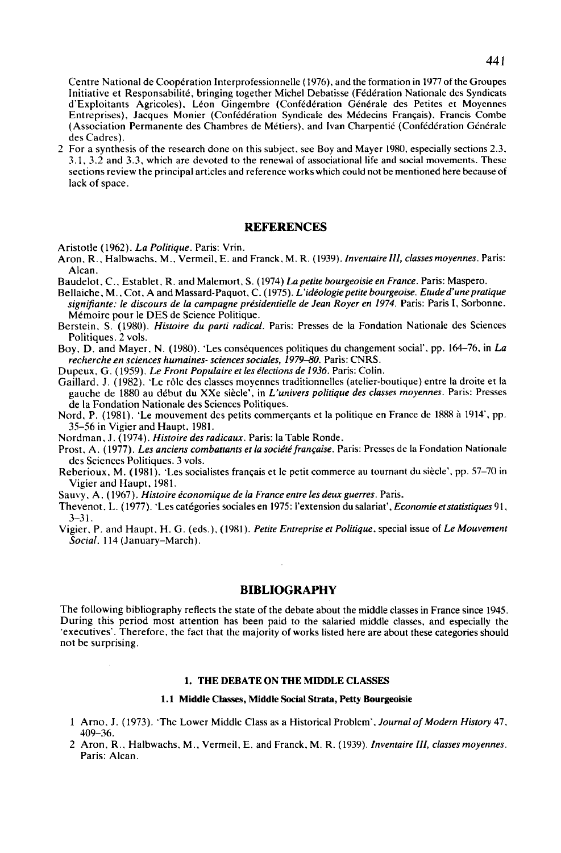Centre National de Cooperation Interprofessionnelle (1976). and the formation in 1977 of the Groupes Initiative et Responsabilite, bringing together Michel Debatisse (Federation Nationale des Syndicats d'Exploitants Agricoles). Léon Gingembre (Confédération Générale des Petites et Moyennes Entreprises), Jacques Monier (Confederation Syndicale des Medecins Franqais), Francis Combe (Association Permanente des Chambres de Metiers). and Ivan Charpentie (Confederation Generale des Cadres).

2 For a synthesis of the research done on this subject. see Boy and Mayer 1980, especially sections 2.3. 3.1, 3.2 and 3.3. which are devoted to the renewal of associational life and social movements. These sections review the principal articles and reference works which could not be mentioned here because of lack of space.

#### **REFERENCES**

Aristotle (1962). La *Politique.* Paris: Vrin.

- Aron. **R.,** Halbwachs. M.. Vermeil, E. and Franck, M. R. (1939). *InventaireIII, classesmoyennes.* Paris: Alcan.
- Baudelot. C.. Establet. R. and Malemort. S. (1974) *Lapetite bourgeoisieen France.* Paris: Maspero.
- Bellaiche. **M.,** Cot. **A** and Massard-Paquot, C. (1975). L'ideologiepetitebourgeoise. *Eruded'unepratique signifiante: le discours de la campagne presidentielle de Jean Royer en 1974.* Paris: Paris 1, Sorbonne. Memoire pour le DES de Science Politique.
- Berstein, S. (1980). *Histoire du parfi radical.* Paris: Presses de la Fondation Nationale des Sciences Politiques. 2 vols.
- Boy. D. and Mayer. N. (1980). 'Les conséquences politiques du changement social'. pp. 164-76. in La *recherche en sciences humaines- sciences sociales, 1979-80.* Paris: CNRS.

Dupeux, G. (1959). *Le Front Populaire et les elections de 1936.* Paris: Colin.

Gaillard. J. (1982). 'Le rôle des classes moyennes traditionnelles (atelier-boutique) entre la droite et la gauche de 1880 au début du XXe siècle', in *L'univers politique des classes moyennes*. Paris: Presses de la Fondation Nationale des Sciences Politiques.

Nord, P. (1981). 'Le mouvement des petits commerçants et la politique en France de 1888 à 1914', pp. *35-56* in Vigier and Haupt. 1981.

Nordman. J. (1974). *Histoire des radicaux.* Paris: IaTable Ronde.

- Prost. A. (1977). *Les anciens combartants et la societefranqaise.* Paris: Presses de la Fondation Nationale des Sciences Politiques. 3 vols.
- Reberioux. M. (1981). 'Les socialistes franqais et le petit commerce au tournant du siecle'. pp. 57-70 in Vigier and Haupt, 1981.
- Sauvy . A. (1967). *Histoire economique de la France entre les deux guerres.* Paris.
- Thevenot. L. (1977). 'Les categories sociales en 1975: I'extension du salariat'. *Economieetstatistiques* 9 1.  $3 - 31$ .
- Vigier. P. and Haupt. H. G. (eds.), (1981). *Petite Entrepriseer Politique.* special issue of Le *Mouvernent Social.* 114 (January-March).

#### **BIBLIOGRAPHY**

The following bibliography reflects the state of the debate about the middle classes in France since 1945. During this period most attention has been paid to the salaried middle classes, and especially the 'executives'. Therefore, the fact that the majority of works listed here are about these categories should not be surprising.

#### **1. THE DEBATE ON THE MIDDLE CLASSES**

#### **1.1** Middle Classes, Middle Social Strata, Petty Bourgeoisie

- 1 Arno. J. (1973). 'The Lower Middle Class as a Historical Problem'. *JournalofModern History* 47, 409-36.
- 2 Aron. R.. Halbwachs. M., Vermeil. E. and Franck. M. R. (1939). *Inventaire III, clussesmoyennes.*  Paris: Alcan.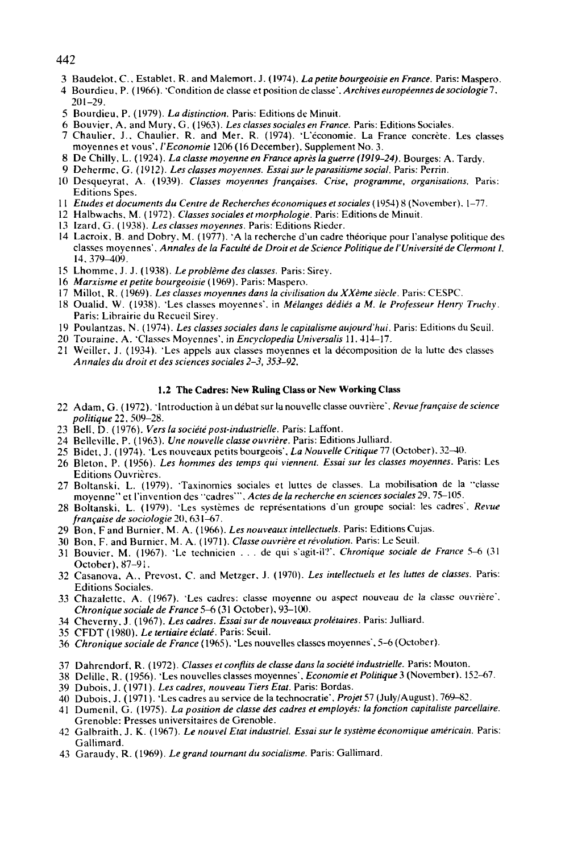- 3 Baudelot. **C..** Establet. R. and Malemort. J. (1974). *Lapetite bourgeoisieen France.* Pans: Maspero.
- 4 Bourdieu. P. ( 1966). 'Condition de classe et position de classe'. *Archiveseuropeennesdesociologie7.*  201-29.
- 5 Bourdieu. P. (1979). *La distinction.* Paris: Editionsde Minuit.
- 6 Bouvier. **A.** and Mury. G. (1963). *Les classes sociales en France.* Paris: Editions Sociales.
- 7 Chaulier. J.. Chaulier. R. and Mer. R. (1974). 'L'economie. La France concrete. Les classes moyennes et vous'. *I'Economie* 1206 **(16** December). Supplement No. **3.**
- **8** De Chilly. L. (1924). *La classe moyenne en France apds laguerre (1919-24).* Bourges: A. Tardy.
- 9 Deherme, G. (1912). Les classes moyennes. Essai sur le parasitisme social. Paris: Perrin.
- **10** Desqueyrat, A. ( 1939). *Classes moyennes frangaises. Crise. programme, organisations.* Paris: Editions Spes.
- 1 1 *Etudes et documents du Centre de Recherches economiques etsociales* **(193) Y** (November). 1-77.
- 12 Halbwachs. M. (1972). *Classessocialesetmorphologie.* Paris: Editionsde Minuit.
- 13 Izard. **G.** (1938). *Les classes moyennes.* Paris: Editions Rieder.
- **14** Lacroix, B. and Dohry. M. (1977). **'A** la recherche d'un cadre theorique pour I'analyse politique des classes moyennes'. *Annales de la Faculte de Droit et de Science Politique de I'llniversite de Clermont I.*  14, 379-409.
- 15 Lhomme, J. J. (1938). *Le problème des classes*. Paris: Sirey.
- *I6 Marxisme er petite bourgeoisie* (1969). Paris: Maspero.
- 17 Millot. R. ( 1969). *Les classes moyennes dam la civilisation du XXeme siecle.* Paris: CESPC.
- 18 Oualid. **W.** (1938). 'Les classes moyennes'. in *Melanges dedies a M. le Professeur Henry Truchy.*  Paris: Lihrairie du Recueil Sirey.
- 19 Poulantzas. *N.* (1974). *Les classes sociales dans le capitalisme aujourd'hui.* Paris: Editions du Seuil.
- 20 Touraine. A. 'Classes Moyennes'. in *Encyclopedia Universalis* I1.414I7.
- 21 Weiller. **J.** (1934). 'Les appels aux classes moyennes et la decomposition de la lutte dcs classes *Annales du droit et des sciences sociales 2-3, 353-92.*

#### **1.2 The Cadres: New Ruling Class or New Working Class**

- 22 Adam, G. (1972). 'Introduction à un débat sur la nouvelle classe ouvrière'. *Revue française de science politique* 22.509-28.
- 23 Bell, D. (1976). *Vers la société post-industrielle*. Paris: Laffont.
- 24 Belleville. P. (1963). *Une nouvelle classe ouvriere.* Paris: Editions Julliard.
- 25 Bidet, J. (1974). 'Les nouveaux petits bourgeois', *La Nouvelle Critique* 77 (October). 32-40.
- 26 Bleton. P. (1956). *Les homnies des temps qui viennent. Essai sur les classes moyennes.* Paris: Les Editions Ouvrières.
- 27 Boltanski. **L.** (1979). 'Taxinomies sociales et luttes de classes. La mobilisation de la "classe moyenne" et I'invention des "cadres"'. *Actes de la rechercheen sciences sociales* 29.75-105.
- 28 Boltanski, **L.** (1979). 'Les systemes de representations d'un groupe social: les cadres'. *Revue*  française de sociologie 20, 631-67.
- 29 Bon. F and Burnier. M. A. (1966). *Les nouveaux intellectuels.* Paris: Editions Cujas.
- 30 Bon. F. and Burnier. M. A. (1971). *Classeouvriereetrevolution.* Paris: LeSeuil.
- **31** Bouvier. M. (1967). 'Le technicien . . , de qui s'agit-il?'. *Chronique sociale de France 541* (31 October), 87-9i.
- 32 Casanova. **A,.** Prevost. C. and Metzger. *J.* (1970). *Les intellectuels et les luttes de classes.* Paris: Editions Sociales.
- *Chronique sociale de France* 5-6 (31 October), 93-100. 33 Chazalette. A. (1967). 'Les cadres: classe moyenne **ou** aspect nouveau de la classe ouvriere'.
- 34 Cheverny, J. (1967). *Les cadres. Essai sur de nouveaux prolétaires.* Paris: Julliard.
- 35 CFDT (1980). *Le tertiaire eclate.* Paris: Seuil.
- 36 *Chronique sociale de France* (1965). 'Les nouvelles classes moyennes'. 5-6 (October).
- 37 Dahrendorf. R. (1972). *Classes et conflits declasse dans la societe industrielle.* Paris: Mouton.
- 38 Delille. R. (1956). 'Les nouvelles classes moyennes'. *Economie et Politique* 3 (November). 151-67.
- 39 Dubois, **J.** (1971). *Lescadres, nouveau Tiers Etat.* Paris: Bordas.
- 40 Dubois, J. (1971). 'Les cadres au service de la technocratie', Projet 57 (July/August). 769-82.
- 41 Dumenil. G. ( 1975). *La position de classe des cadres et employes: la fonction capiralisre parcellaire.*  Grenoble: Presses universitaires de Grenoble.
- 42 Galbraith, J. *K.* (1967). *Le nouvel Etat industriel. Essai sur le systeme economique americain.* Paris: Gallimard.
- 43 Garaudy, R. (1969). *Legrand tournant du socialisme.* Paris: Gallimard.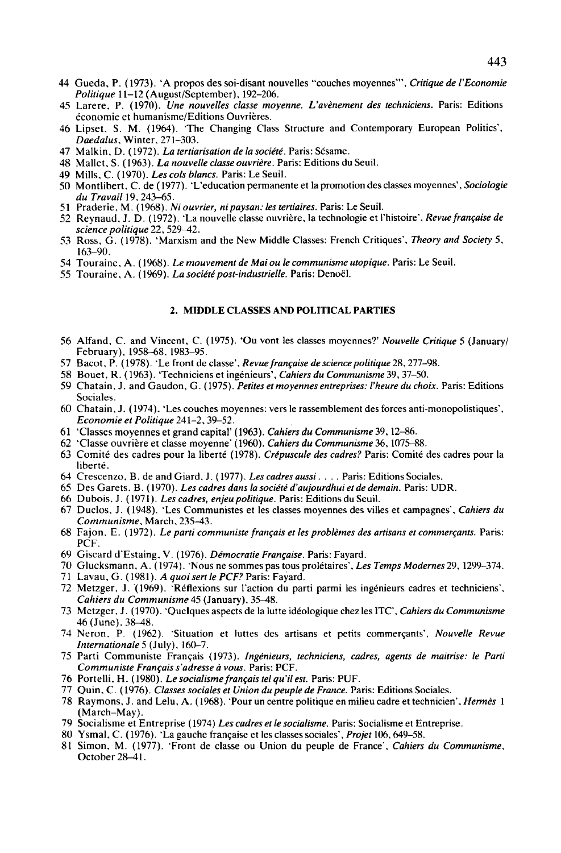- 44 Gueda, P. (1973). 'A propos des soi-disant nouvelles "couches moyennes"', *Critique de I'Economie Politique* 11-12 (August/September), 192-206.
- 45 Larere. P. (1970). *Une nouvelles classe moyenne. L'avenement des techniciens.* Paris: Editions economie et humanisme/Editions Ouvrieres.
- 46 Lipset. S. M. (1964). 'The Changing Class Structure and Contemporary European Politics', *Daedalus.* Winter. 271-303.
- 47 Malkin. D. (1972). *La tertiarisation de la societe.* Paris: Sesame.
- 48 Mallet, S. (1963). *La nouvelle cfasse ouvriere.* Paris: Editions du Seuil.
- 49 Mills. C. (1970). *Les cols blancs.* Paris: Le Seuil.
- 50 Montlibert. C. de **I1977).** 'L'education Dermanente et la promotion des classes moyennes', *Sociologie*   $du$  Travail 19. 243-65.
- 51 Praderie. M. (1968). *Ni ouvrier. nipavsan: les rertiaires.* Paris: Le Seuil.
- 52 Reynaud, J. D. (1972). 'La nouvelle classe ouvrière, la technologie et l'histoire', Revue française de science politique 22, 529-42.
- *5.3 Ross.* G. (1978). 'Marxism and the New Middle Classes: French Critiques', *Theory and Society 5,*  163-90.
- 54 Touraine. A. (1968). *Le mouvementde Maiou le communisme utopique.* Paris: Le Seuil.
- 55 Touraine, A. (1969). *La société post-industrielle*. Paris: Denoël.

#### **2. MIDDLE CLASSES AND POLITICAL PARTIES**

- 56 Alfand. C. and Vincent. C. (1975). **'Ou** vont les classes moyennes?' *Nouvelle Critique* 5 (January/ February), 195&68. 1983-95.
- 57 Bacot, P. (1978). 'Le front de classe'. *Revue francaise desciencepolitique28,277-98.*
- 58 *Bouet,* R. (1963). 'Techniciens et ingenieurs', *Cahiers du Communisme* 39,37-50.
- 59 Chatain. J. and Gaudon. G. (1975). *Petitesetmoyennesentreprises: I'heure du choix.* Paris: Editions Sociales.
- 60 Chatain. J. (1974). 'Les couches moyennes: vers le rassemblement des forces anti-monopolistiques'. *Economie et Politique* 241-2,39-52.
- 61 'Classes moyennes et grand capital' (1963). *Cahiers du Communisme* 39.12-86.
- 62 'Classe ouvriere et classe moyenne' (1960). *Cahiers du Communisme* 36, 1075-88.
- 63 Comite des cadres pour la liberte **(1978).** *Crepuscule des cadres?* Paris: Comitt des cadres pour la liberte.
- 63 Crescenzo. B. de and Giard, **J.** (1977). *Les cadres aussi* . . . . Paris: Editions Sociales.
- 65 Des Carets. B. (1970). *Les cadres duns la societe d'aujourdhui et de demain.* Paris: UDR.
- 66 Dubois. **J.** (1971). *Lescadres, enjeupolitique.* Paris: Editions *du* Seuil.
- 67 Duclos. J. (1948). 'Les Communistes et les classes moyennes des villes et campagnes'. *Cahiers du*  Communisme, March. 235-43.
- 68 Fajon. E. ( 1972). *Le parti communiste francais et les problemes des artisans et commercants.* Paris: PCF.
- 69 Giscard d'Estaing. V. (1976). *Democrutie Francanise.* Paris: Fayard.
- 70 Glucksmann. A. (1974). 'Nous ne sommes pas tous proletaires', *Les Temps Modernes* 29. 1299-374.
- 71 Lavau. G. (1981). A *quoisertle PCF?* Paris: Fayard.
- 72 Metzger. **J.** .(1969). 'Reflexions **sur** I'action du parti parmi les ingenieurs cadres et techniciens'. Cahiers du Communisme 45 (January), 35-48.
- 73 Metzger, **J.** (1970). 'Quelques aspects de la lutte ideologique chez les ITC', *Cahiers du Communisme*  46 (June). 38-48.
- 73 Neron. P. (1962). 'Situation et luttes des artisans et petits commeqants'. *Nouvelle Revue Internationale* 5 (July). 160-7.
- 75 Parti Communiste Frangais ( 1973). *Ingenieurs, techniciens, cadres, agents de maitrise: le Parti Communiste Francais s'adresse a vous.* Paris: PCF.
- 76 Portelli. H. (1980). *Le socialismefrancais telqu'ilest.* Paris: PUF.
- 77 Quin, C. (1976). Classes *sociales et Union dupeuple de France.* Paris: Editions Sociales.
- 78 Raymons, **J.** and Lelu, A. (1968). 'Pour un centre politique en milieu cadre et technicien'. *Hermes* **<sup>1</sup>** (March-May).
- 79 Socialisme et Entreprise (1974) *Les cadres et le socialisme.* Paris: Socialisme et Entreprise.
- 80 Ysmal, C. (1976). 'La gauche fraqaise et les classes sociales', *Projet* **106.649-58.**
- 81 Simon. M. (1977). 'Front de classe ou Union du peuple de France', *Cahiers du Communisme,*  October 28-4 I.